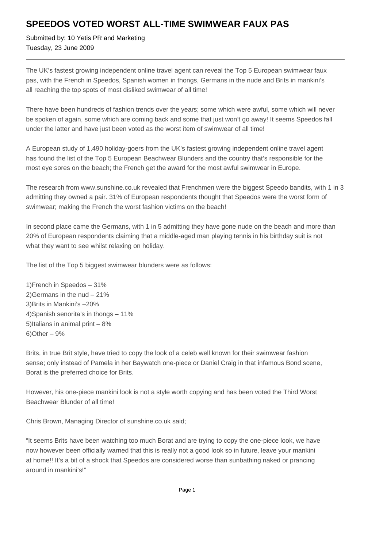## **SPEEDOS VOTED WORST ALL-TIME SWIMWEAR FAUX PAS**

Submitted by: 10 Yetis PR and Marketing Tuesday, 23 June 2009

The UK's fastest growing independent online travel agent can reveal the Top 5 European swimwear faux pas, with the French in Speedos, Spanish women in thongs, Germans in the nude and Brits in mankini's all reaching the top spots of most disliked swimwear of all time!

There have been hundreds of fashion trends over the years; some which were awful, some which will never be spoken of again, some which are coming back and some that just won't go away! It seems Speedos fall under the latter and have just been voted as the worst item of swimwear of all time!

A European study of 1,490 holiday-goers from the UK's fastest growing independent online travel agent has found the list of the Top 5 European Beachwear Blunders and the country that's responsible for the most eye sores on the beach; the French get the award for the most awful swimwear in Europe.

The research from www.sunshine.co.uk revealed that Frenchmen were the biggest Speedo bandits, with 1 in 3 admitting they owned a pair. 31% of European respondents thought that Speedos were the worst form of swimwear; making the French the worst fashion victims on the beach!

In second place came the Germans, with 1 in 5 admitting they have gone nude on the beach and more than 20% of European respondents claiming that a middle-aged man playing tennis in his birthday suit is not what they want to see whilst relaxing on holiday.

The list of the Top 5 biggest swimwear blunders were as follows:

- 1) French in Speedos 31%
- 2) Germans in the nud  $-21%$
- 3) Brits in Mankini's –20%
- 4) Spanish senorita's in thongs 11%
- 5) Italians in animal print  $-8\%$
- $6)$  Other  $9%$

Brits, in true Brit style, have tried to copy the look of a celeb well known for their swimwear fashion sense; only instead of Pamela in her Baywatch one-piece or Daniel Craig in that infamous Bond scene, Borat is the preferred choice for Brits.

However, his one-piece mankini look is not a style worth copying and has been voted the Third Worst Beachwear Blunder of all time!

Chris Brown, Managing Director of sunshine.co.uk said;

"It seems Brits have been watching too much Borat and are trying to copy the one-piece look, we have now however been officially warned that this is really not a good look so in future, leave your mankini at home!! It's a bit of a shock that Speedos are considered worse than sunbathing naked or prancing around in mankini's!"